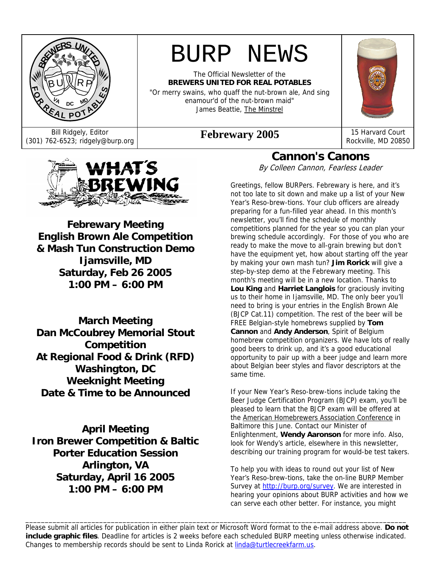

# BURP NEWS

The Official Newsletter of the **BREWERS UNITED FOR REAL POTABLES**  "Or merry swains, who quaff the nut-brown ale, And sing enamour'd of the nut-brown maid" James Beattie, The Minstrel

Bill Ridgely, Editor<br>(301) 762-6523; ridgely@burp.org **Febrewary 2005** 15 Harvard Court Rockville, MD 2085

Rockville, MD 20850



**Febrewary Meeting English Brown Ale Competition & Mash Tun Construction Demo Ijamsville, MD Saturday, Feb 26 2005 1:00 PM – 6:00 PM** 

**March Meeting Dan McCoubrey Memorial Stout Competition At Regional Food & Drink (RFD) Washington, DC Weeknight Meeting Date & Time to be Announced** 

**April Meeting Iron Brewer Competition & Baltic Porter Education Session Arlington, VA Saturday, April 16 2005 1:00 PM – 6:00 PM** 

#### **Cannon's Canons**  By Colleen Cannon, Fearless Leader

Greetings, fellow BURPers. Febrewary is here, and it's not too late to sit down and make up a list of your New Year's Reso-brew-tions. Your club officers are already preparing for a fun-filled year ahead. In this month's newsletter, you'll find the schedule of monthly competitions planned for the year so you can plan your brewing schedule accordingly. For those of you who are ready to make the move to all-grain brewing but don't have the equipment yet, how about starting off the year by making your own mash tun? **Jim Rorick** will give a step-by-step demo at the Febrewary meeting. This month's meeting will be in a new location. Thanks to **Lou King** and **Harriet Langlois** for graciously inviting us to their home in Ijamsville, MD. The only beer you'll need to bring is your entries in the English Brown Ale (BJCP Cat.11) competition. The rest of the beer will be FREE Belgian-style homebrews supplied by **Tom Cannon** and **Andy Anderson**, Spirit of Belgium homebrew competition organizers. We have lots of really good beers to drink up, and it's a good educational opportunity to pair up with a beer judge and learn more about Belgian beer styles and flavor descriptors at the same time.

If your New Year's Reso-brew-tions include taking the Beer Judge Certification Program (BJCP) exam, you'll be pleased to learn that the BJCP exam will be offered at the American Homebrewers Association Conference in Baltimore this June. Contact our Minister of Enlightenment, **Wendy Aaronson** for more info. Also, look for Wendy's article, elsewhere in this newsletter, describing our training program for would-be test takers.

To help you with ideas to round out your list of New Year's Reso-brew-tions, take the on-line BURP Member Survey at http://burp.org/survey. We are interested in hearing your opinions about BURP activities and how we can serve each other better. For instance, you might

Please submit all articles for publication in either plain text or Microsoft Word format to the e-mail address above. **Do not include graphic files**. Deadline for articles is 2 weeks before each scheduled BURP meeting unless otherwise indicated. Changes to membership records should be sent to Linda Rorick at linda@turtlecreekfarm.us.

\_\_\_\_\_\_\_\_\_\_\_\_\_\_\_\_\_\_\_\_\_\_\_\_\_\_\_\_\_\_\_\_\_\_\_\_\_\_\_\_\_\_\_\_\_\_\_\_\_\_\_\_\_\_\_\_\_\_\_\_\_\_\_\_\_\_\_\_\_\_\_\_\_\_\_\_\_\_\_\_\_\_\_\_\_\_\_\_\_\_\_\_\_\_\_\_\_\_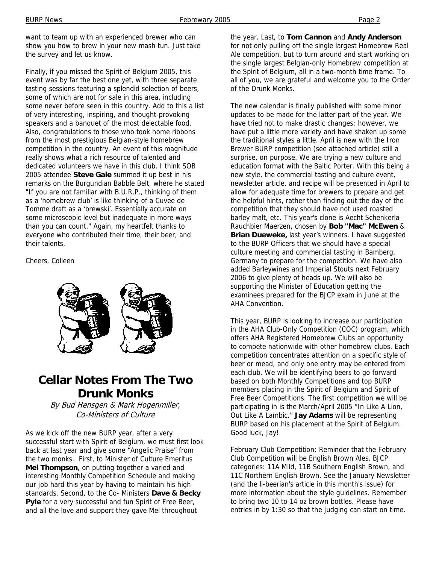want to team up with an experienced brewer who can show you how to brew in your new mash tun. Just take the survey and let us know.

Finally, if you missed the Spirit of Belgium 2005, this event was by far the best one yet, with three separate tasting sessions featuring a splendid selection of beers, some of which are not for sale in this area, including some never before seen in this country. Add to this a list of very interesting, inspiring, and thought-provoking speakers and a banquet of the most delectable food. Also, congratulations to those who took home ribbons from the most prestigious Belgian-style homebrew competition in the country. An event of this magnitude really shows what a rich resource of talented and dedicated volunteers we have in this club. I think SOB 2005 attendee **Steve Gale** summed it up best in his remarks on the Burgundian Babble Belt, where he stated "If you are not familiar with B.U.R.P., thinking of them as a 'homebrew club' is like thinking of a Cuvee de Tomme draft as a 'brewski'. Essentially accurate on some microscopic level but inadequate in more ways than you can count." Again, my heartfelt thanks to everyone who contributed their time, their beer, and their talents.

Cheers, Colleen



# **Cellar Notes From The Two Drunk Monks**

By Bud Hensgen & Mark Hogenmiller, Co-Ministers of Culture

As we kick off the new BURP year, after a very successful start with Spirit of Belgium, we must first look back at last year and give some "Angelic Praise" from the two monks. First, to Minister of Culture Emeritus **Mel Thompson**, on putting together a varied and interesting Monthly Competition Schedule and making our job hard this year by having to maintain his high standards. Second, to the Co- Ministers **Dave & Becky Pyle** for a very successful and fun Spirit of Free Beer, and all the love and support they gave Mel throughout

the year. Last, to **Tom Cannon** and **Andy Anderson** for not only pulling off the single largest Homebrew Real Ale competition, but to turn around and start working on the single largest Belgian-only Homebrew competition at the Spirit of Belgium, all in a two-month time frame. To all of you, we are grateful and welcome you to the Order of the Drunk Monks.

The new calendar is finally published with some minor updates to be made for the latter part of the year. We have tried not to make drastic changes; however, we have put a little more variety and have shaken up some the traditional styles a little. April is new with the Iron Brewer BURP competition (see attached article) still a surprise, on purpose. We are trying a new culture and education format with the Baltic Porter. With this being a new style, the commercial tasting and culture event, newsletter article, and recipe will be presented in April to allow for adequate time for brewers to prepare and get the helpful hints, rather than finding out the day of the competition that they should have not used roasted barley malt, etc. This year's clone is Aecht Schenkerla Rauchbier Maerzen, chosen by **Bob "Mac" McEwen** & **Brian Dueweke,** last year's winners. I have suggested to the BURP Officers that we should have a special culture meeting and commercial tasting in Bamberg, Germany to prepare for the competition. We have also added Barleywines and Imperial Stouts next February 2006 to give plenty of heads up. We will also be supporting the Minister of Education getting the examinees prepared for the BJCP exam in June at the AHA Convention.

This year, BURP is looking to increase our participation in the AHA Club-Only Competition (COC) program, which offers AHA Registered Homebrew Clubs an opportunity to compete nationwide with other homebrew clubs. Each competition concentrates attention on a specific style of beer or mead, and only one entry may be entered from each club. We will be identifying beers to go forward based on both Monthly Competitions and top BURP members placing in the Spirit of Belgium and Spirit of Free Beer Competitions. The first competition we will be participating in is the March/April 2005 "In Like A Lion, Out Like A Lambic." **Jay Adams** will be representing BURP based on his placement at the Spirit of Belgium. Good luck, Jay!

February Club Competition: Reminder that the February Club Competition will be English Brown Ales, BJCP categories: 11A Mild, 11B Southern English Brown, and 11C Northern English Brown. See the January Newsletter (and the li-beerian's article in this month's issue) for more information about the style guidelines. Remember to bring two 10 to 14 oz brown bottles. Please have entries in by 1:30 so that the judging can start on time.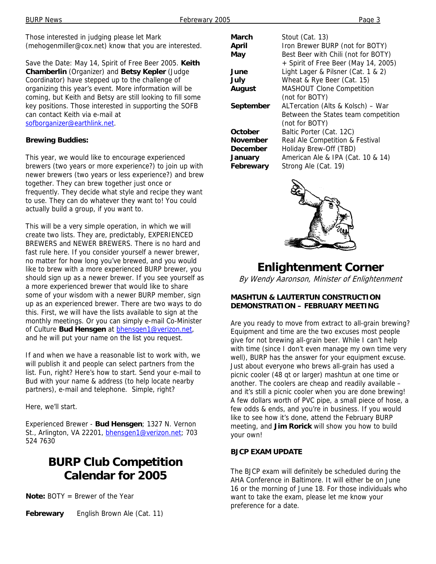Those interested in judging please let Mark (mehogenmiller@cox.net) know that you are interested.

Save the Date: May 14, Spirit of Free Beer 2005. **Keith Chamberlin** (Organizer) and **Betsy Kepler** (Judge Coordinator) have stepped up to the challenge of organizing this year's event. More information will be coming, but Keith and Betsy are still looking to fill some key positions. Those interested in supporting the SOFB can contact Keith via e-mail at sofborganizer@earthlink.net.

#### **Brewing Buddies:**

This year, we would like to encourage experienced brewers (two years or more experience?) to join up with newer brewers (two years or less experience?) and brew together. They can brew together just once or frequently. They decide what style and recipe they want to use. They can do whatever they want to! You could actually build a group, if you want to.

This will be a very simple operation, in which we will create two lists. They are, predictably, EXPERIENCED BREWERS and NEWER BREWERS. There is no hard and fast rule here. If you consider yourself a newer brewer, no matter for how long you've brewed, and you would like to brew with a more experienced BURP brewer, you should sign up as a newer brewer. If you see yourself as a more experienced brewer that would like to share some of your wisdom with a newer BURP member, sign up as an experienced brewer. There are two ways to do this. First, we will have the lists available to sign at the monthly meetings. Or you can simply e-mail Co-Minister of Culture **Bud Hensgen** at bhensgen1@verizon.net, and he will put your name on the list you request.

If and when we have a reasonable list to work with, we will publish it and people can select partners from the list. Fun, right? Here's how to start. Send your e-mail to Bud with your name & address (to help locate nearby partners), e-mail and telephone. Simple, right?

Here, we'll start.

Experienced Brewer - **Bud Hensgen**; 1327 N. Vernon St., Arlington, VA 22201, bhensgen1@verizon.net; 703 524 7630

# **BURP Club Competition Calendar for 2005**

**Note:** BOTY = Brewer of the Year

**Febrewary** English Brown Ale (Cat. 11)

| March           | Stout (Cat. 13)                      |
|-----------------|--------------------------------------|
| April           | Iron Brewer BURP (not for BOTY)      |
| May             | Best Beer with Chili (not for BOTY)  |
|                 | + Spirit of Free Beer (May 14, 2005) |
| June            | Light Lager & Pilsner (Cat. 1 & 2)   |
| July            | Wheat & Rye Beer (Cat. 15)           |
| <b>August</b>   | <b>MASHOUT Clone Competition</b>     |
|                 | (not for BOTY)                       |
|                 |                                      |
| September       | ALTercation (Alts & Kolsch) - War    |
|                 | Between the States team competition  |
|                 | (not for BOTY)                       |
| October         | Baltic Porter (Cat. 12C)             |
| <b>November</b> | Real Ale Competition & Festival      |
| December        | Holiday Brew-Off (TBD)               |
| January         | American Ale & IPA (Cat. 10 & 14)    |



# **Enlightenment Corner**

By Wendy Aaronson, Minister of Enlightenment

#### **MASHTUN & LAUTERTUN CONSTRUCTION DEMONSTRATION – FEBRUARY MEETING**

Are you ready to move from extract to all-grain brewing? Equipment and time are the two excuses most people give for not brewing all-grain beer. While I can't help with time (since I don't even manage my own time very well), BURP has the answer for your equipment excuse. Just about everyone who brews all-grain has used a picnic cooler (48 qt or larger) mashtun at one time or another. The coolers are cheap and readily available – and it's still a picnic cooler when you are done brewing! A few dollars worth of PVC pipe, a small piece of hose, a few odds & ends, and you're in business. If you would like to see how it's done, attend the February BURP meeting, and **Jim Rorick** will show you how to build your own!

#### **BJCP EXAM UPDATE**

The BJCP exam will definitely be scheduled during the AHA Conference in Baltimore. It will either be on June 16 or the morning of June 18. For those individuals who want to take the exam, please let me know your preference for a date.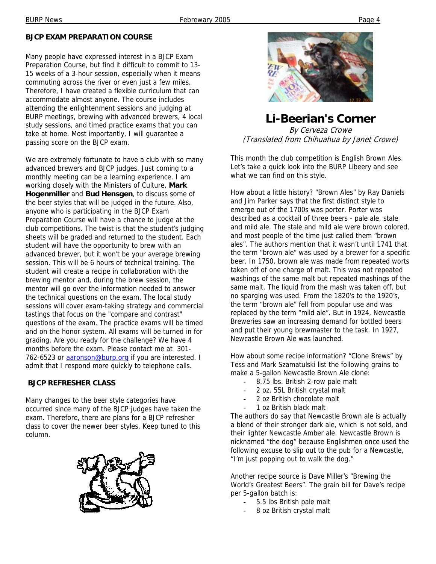#### **BJCP EXAM PREPARATION COURSE**

Many people have expressed interest in a BJCP Exam Preparation Course, but find it difficult to commit to 13- 15 weeks of a 3-hour session, especially when it means commuting across the river or even just a few miles. Therefore, I have created a flexible curriculum that can accommodate almost anyone. The course includes attending the enlightenment sessions and judging at BURP meetings, brewing with advanced brewers, 4 local study sessions, and timed practice exams that you can take at home. Most importantly, I will guarantee a passing score on the BJCP exam.

We are extremely fortunate to have a club with so many advanced brewers and BJCP judges. Just coming to a monthly meeting can be a learning experience. I am working closely with the Ministers of Culture, **Mark Hogenmiller** and **Bud Hensgen**, to discuss some of the beer styles that will be judged in the future. Also, anyone who is participating in the BJCP Exam Preparation Course will have a chance to judge at the club competitions. The twist is that the student's judging sheets will be graded and returned to the student. Each student will have the opportunity to brew with an advanced brewer, but it won't be your average brewing session. This will be 6 hours of technical training. The student will create a recipe in collaboration with the brewing mentor and, during the brew session, the mentor will go over the information needed to answer the technical questions on the exam. The local study sessions will cover exam-taking strategy and commercial tastings that focus on the "compare and contrast" questions of the exam. The practice exams will be timed and on the honor system. All exams will be turned in for grading. Are you ready for the challenge? We have 4 months before the exam. Please contact me at 301- 762-6523 or aaronson@burp.org if you are interested. I admit that I respond more quickly to telephone calls.

#### **BJCP REFRESHER CLASS**

Many changes to the beer style categories have occurred since many of the BJCP judges have taken the exam. Therefore, there are plans for a BJCP refresher class to cover the newer beer styles. Keep tuned to this column.





**Li-Beerian's Corner**  By Cerveza Crowe (Translated from Chihuahua by Janet Crowe)

This month the club competition is English Brown Ales. Let's take a quick look into the BURP Libeery and see what we can find on this style.

How about a little history? "Brown Ales" by Ray Daniels and Jim Parker says that the first distinct style to emerge out of the 1700s was porter. Porter was described as a cocktail of three beers - pale ale, stale and mild ale. The stale and mild ale were brown colored, and most people of the time just called them "brown ales". The authors mention that it wasn't until 1741 that the term "brown ale" was used by a brewer for a specific beer. In 1750, brown ale was made from repeated worts taken off of one charge of malt. This was not repeated washings of the same malt but repeated mashings of the same malt. The liquid from the mash was taken off, but no sparging was used. From the 1820's to the 1920's, the term "brown ale" fell from popular use and was replaced by the term "mild ale". But in 1924, Newcastle Breweries saw an increasing demand for bottled beers and put their young brewmaster to the task. In 1927, Newcastle Brown Ale was launched.

How about some recipe information? "Clone Brews" by Tess and Mark Szamatulski list the following grains to make a 5-gallon Newcastle Brown Ale clone:

- 8.75 lbs. British 2-row pale malt
- 2 oz. 55L British crystal malt
- 2 oz British chocolate malt
- 1 oz British black malt

The authors do say that Newcastle Brown ale is actually a blend of their stronger dark ale, which is not sold, and their lighter Newcastle Amber ale. Newcastle Brown is nicknamed "the dog" because Englishmen once used the following excuse to slip out to the pub for a Newcastle, "I'm just popping out to walk the dog."

Another recipe source is Dave Miller's "Brewing the World's Greatest Beers". The grain bill for Dave's recipe per 5-gallon batch is:

- 5.5 lbs British pale malt
- 8 oz British crystal malt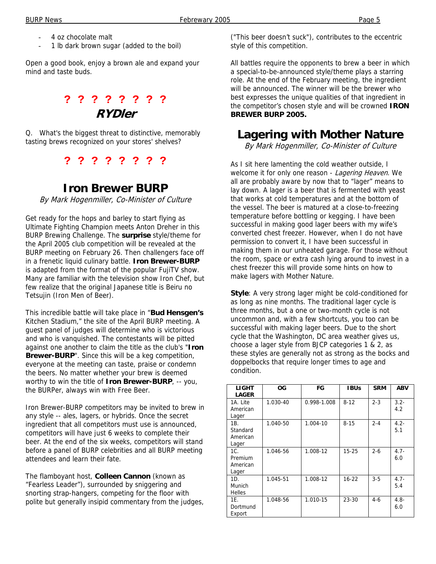- 4 oz chocolate malt
- 1 lb dark brown sugar (added to the boil)

Open a good book, enjoy a brown ale and expand your mind and taste buds.

### **? ? ? ? ? ? ? ? RYDler**

Q. What's the biggest threat to distinctive, memorably tasting brews recognized on your stores' shelves?

**? ? ? ? ? ? ? ?** 

### **Iron Brewer BURP**

By Mark Hogenmiller, Co-Minister of Culture

Get ready for the hops and barley to start flying as Ultimate Fighting Champion meets Anton Dreher in this BURP Brewing Challenge. The **surprise** style/theme for the April 2005 club competition will be revealed at the BURP meeting on February 26. Then challengers face off in a frenetic liquid culinary battle. **Iron Brewer-BURP** is adapted from the format of the popular FujiTV show. Many are familiar with the television show Iron Chef, but few realize that the original Japanese title is Beiru no Tetsujin (Iron Men of Beer).

This incredible battle will take place in "**Bud Hensgen's** Kitchen Stadium," the site of the April BURP meeting. A guest panel of judges will determine who is victorious and who is vanquished. The contestants will be pitted against one another to claim the title as the club's "**Iron Brewer-BURP**". Since this will be a keg competition, everyone at the meeting can taste, praise or condemn the beers. No matter whether your brew is deemed worthy to win the title of **Iron Brewer-BURP**, -- you, the BURPer, always win with Free Beer.

Iron Brewer-BURP competitors may be invited to brew in any style -- ales, lagers, or hybrids. Once the secret ingredient that all competitors must use is announced, competitors will have just 6 weeks to complete their beer. At the end of the six weeks, competitors will stand before a panel of BURP celebrities and all BURP meeting attendees and learn their fate.

The flamboyant host, **Colleen Cannon** (known as "Fearless Leader"), surrounded by sniggering and snorting strap-hangers, competing for the floor with polite but generally insipid commentary from the judges,

("This beer doesn't suck"), contributes to the eccentric style of this competition.

All battles require the opponents to brew a beer in which a special-to-be-announced style/theme plays a starring role. At the end of the February meeting, the ingredient will be announced. The winner will be the brewer who best expresses the unique qualities of that ingredient in the competitor's chosen style and will be crowned **IRON BREWER BURP 2005.** 

### **Lagering with Mother Nature**

By Mark Hogenmiller, Co-Minister of Culture

As I sit here lamenting the cold weather outside, I welcome it for only one reason - Lagering Heaven. We all are probably aware by now that to "lager" means to lay down. A lager is a beer that is fermented with yeast that works at cold temperatures and at the bottom of the vessel. The beer is matured at a close-to-freezing temperature before bottling or kegging. I have been successful in making good lager beers with my wife's converted chest freezer. However, when I do not have permission to convert it, I have been successful in making them in our unheated garage. For those without the room, space or extra cash lying around to invest in a chest freezer this will provide some hints on how to make lagers with Mother Nature.

**Style**: A very strong lager might be cold-conditioned for as long as nine months. The traditional lager cycle is three months, but a one or two-month cycle is not uncommon and, with a few shortcuts, you too can be successful with making lager beers. Due to the short cycle that the Washington, DC area weather gives us, choose a lager style from BJCP categories 1 & 2, as these styles are generally not as strong as the bocks and doppelbocks that require longer times to age and condition.

| <b>LIGHT</b><br><b>LAGER</b>         | OG.      | FG          | <b>IBUs</b> | <b>SRM</b> | <b>ABV</b>     |
|--------------------------------------|----------|-------------|-------------|------------|----------------|
| 1A. Lite<br>American<br>Lager        | 1.030-40 | 0.998-1.008 | $8 - 12$    | $2 - 3$    | $3.2 -$<br>4.2 |
| 1B.<br>Standard<br>American<br>Lager | 1.040-50 | 1.004-10    | $8 - 15$    | $2 - 4$    | $4.2 -$<br>5.1 |
| 1C.<br>Premium<br>American<br>Lager  | 1.046-56 | 1.008-12    | $15 - 25$   | $2 - 6$    | $4.7 -$<br>6.0 |
| 1D.<br>Munich<br><b>Helles</b>       | 1.045-51 | 1.008-12    | $16 - 22$   | $3-5$      | $4.7 -$<br>5.4 |
| 1E.<br>Dortmund<br>Export            | 1.048-56 | 1.010-15    | 23-30       | $4-6$      | $4.8 -$<br>6.0 |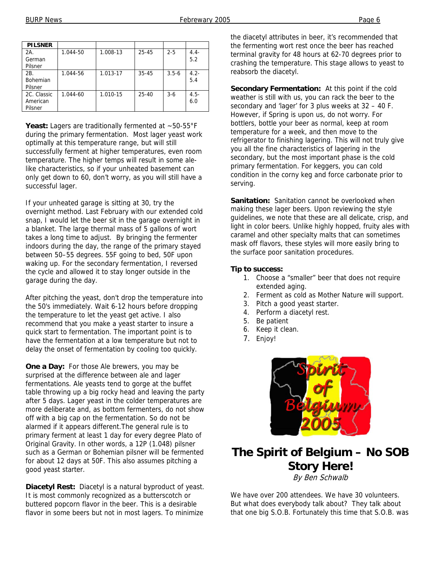| <b>PILSNER</b>                     |          |          |           |           |                |
|------------------------------------|----------|----------|-----------|-----------|----------------|
| 2A.<br>German<br>Pilsner           | 1.044-50 | 1.008-13 | $25 - 45$ | $2 - 5$   | $4.4 -$<br>5.2 |
| 2B.<br><b>Bohemian</b><br>Pilsner  | 1.044-56 | 1.013-17 | $35 - 45$ | $3.5 - 6$ | $4.2 -$<br>5.4 |
| 2C. Classic<br>American<br>Pilsner | 1.044-60 | 1.010-15 | $25 - 40$ | $3-6$     | $4.5 -$<br>6.0 |

Yeast: Lagers are traditionally fermented at ~50-55°F during the primary fermentation. Most lager yeast work optimally at this temperature range, but will still successfully ferment at higher temperatures, even room temperature. The higher temps will result in some alelike characteristics, so if your unheated basement can only get down to 60, don't worry, as you will still have a successful lager.

If your unheated garage is sitting at 30, try the overnight method. Last February with our extended cold snap, I would let the beer sit in the garage overnight in a blanket. The large thermal mass of 5 gallons of wort takes a long time to adjust. By bringing the fermenter indoors during the day, the range of the primary stayed between 50–55 degrees. 55F going to bed, 50F upon waking up. For the secondary fermentation, I reversed the cycle and allowed it to stay longer outside in the garage during the day.

After pitching the yeast, don't drop the temperature into the 50's immediately. Wait 6-12 hours before dropping the temperature to let the yeast get active. I also recommend that you make a yeast starter to insure a quick start to fermentation. The important point is to have the fermentation at a low temperature but not to delay the onset of fermentation by cooling too quickly.

**One a Day:** For those Ale brewers, you may be surprised at the difference between ale and lager fermentations. Ale yeasts tend to gorge at the buffet table throwing up a big rocky head and leaving the party after 5 days. Lager yeast in the colder temperatures are more deliberate and, as bottom fermenters, do not show off with a big cap on the fermentation. So do not be alarmed if it appears different.The general rule is to primary ferment at least 1 day for every degree Plato of Original Gravity. In other words, a 12P (1.048) pilsner such as a German or Bohemian pilsner will be fermented for about 12 days at 50F. This also assumes pitching a good yeast starter.

**Diacetyl Rest:** Diacetyl is a natural byproduct of yeast. It is most commonly recognized as a butterscotch or buttered popcorn flavor in the beer. This is a desirable flavor in some beers but not in most lagers. To minimize

the diacetyl attributes in beer, it's recommended that the fermenting wort rest once the beer has reached terminal gravity for 48 hours at 62-70 degrees prior to crashing the temperature. This stage allows to yeast to reabsorb the diacetyl.

**Secondary Fermentation:** At this point if the cold weather is still with us, you can rack the beer to the secondary and 'lager' for 3 plus weeks at 32 – 40 F. However, if Spring is upon us, do not worry. For bottlers, bottle your beer as normal, keep at room temperature for a week, and then move to the refrigerator to finishing lagering. This will not truly give you all the fine characteristics of lagering in the secondary, but the most important phase is the cold primary fermentation. For keggers, you can cold condition in the corny keg and force carbonate prior to serving.

**Sanitation:** Sanitation cannot be overlooked when making these lager beers. Upon reviewing the style guidelines, we note that these are all delicate, crisp, and light in color beers. Unlike highly hopped, fruity ales with caramel and other specialty malts that can sometimes mask off flavors, these styles will more easily bring to the surface poor sanitation procedures.

#### **Tip to success:**

- 1. Choose a "smaller" beer that does not require extended aging.
- 2. Ferment as cold as Mother Nature will support.
- 3. Pitch a good yeast starter.
- 4. Perform a diacetyl rest.
- 5. Be patient
- 6. Keep it clean.
- 7. Enjoy!



# **The Spirit of Belgium – No SOB Story Here!**

By Ben Schwalb

We have over 200 attendees. We have 30 volunteers. But what does everybody talk about? They talk about that one big S.O.B. Fortunately this time that S.O.B. was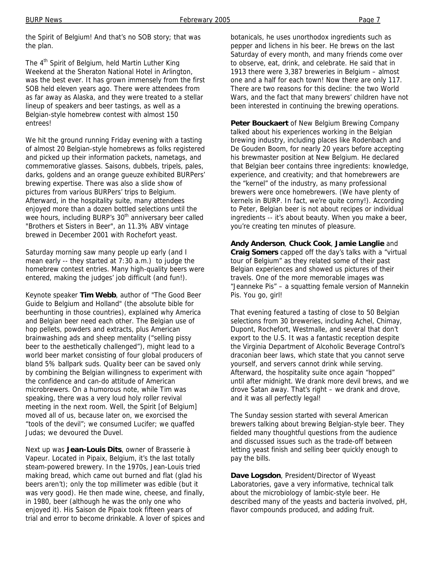the Spirit of Belgium! And that's no SOB story; that was the plan.

The 4<sup>th</sup> Spirit of Belgium, held Martin Luther King Weekend at the Sheraton National Hotel in Arlington, was the best ever. It has grown immensely from the first SOB held eleven years ago. There were attendees from as far away as Alaska, and they were treated to a stellar lineup of speakers and beer tastings, as well as a Belgian-style homebrew contest with almost 150 entrees!

We hit the ground running Friday evening with a tasting of almost 20 Belgian-style homebrews as folks registered and picked up their information packets, nametags, and commemorative glasses. Saisons, dubbels, tripels, pales, darks, goldens and an orange gueuze exhibited BURPers' brewing expertise. There was also a slide show of pictures from various BURPers' trips to Belgium. Afterward, in the hospitality suite, many attendees enjoyed more than a dozen bottled selections until the wee hours, including BURP's 30<sup>th</sup> anniversary beer called "Brothers et Sisters in Beer", an 11.3% ABV vintage brewed in December 2001 with Rochefort yeast.

Saturday morning saw many people up early (and I mean early -- they started at 7:30 a.m.) to judge the homebrew contest entries. Many high-quality beers were entered, making the judges' job difficult (and fun!).

Keynote speaker **Tim Webb**, author of "The Good Beer Guide to Belgium and Holland" (the absolute bible for beerhunting in those countries), explained why America and Belgian beer need each other. The Belgian use of hop pellets, powders and extracts, plus American brainwashing ads and sheep mentality ("selling pissy beer to the aesthetically challenged"), might lead to a world beer market consisting of four global producers of bland 5% ballpark suds. Quality beer can be saved only by combining the Belgian willingness to experiment with the confidence and can-do attitude of American microbrewers. On a humorous note, while Tim was speaking, there was a very loud holy roller revival meeting in the next room. Well, the Spirit [of Belgium] moved all of us, because later on, we exorcised the "tools of the devil"; we consumed Lucifer; we quaffed Judas; we devoured the Duvel.

Next up was **Jean-Louis Dits**, owner of Brasserie à Vapeur. Located in Pipaix, Belgium, it's the last totally steam-powered brewery. In the 1970s, Jean-Louis tried making bread, which came out burned and flat (glad his beers aren't); only the top millimeter was edible (but it was very good). He then made wine, cheese, and finally, in 1980, beer (although he was the only one who enjoyed it). His Saison de Pipaix took fifteen years of trial and error to become drinkable. A lover of spices and botanicals, he uses unorthodox ingredients such as pepper and lichens in his beer. He brews on the last Saturday of every month, and many friends come over to observe, eat, drink, and celebrate. He said that in 1913 there were 3,387 breweries in Belgium – almost one and a half for each town! Now there are only 117. There are two reasons for this decline: the two World Wars, and the fact that many brewers' children have not been interested in continuing the brewing operations.

**Peter Bouckaert** of New Belgium Brewing Company talked about his experiences working in the Belgian brewing industry, including places like Rodenbach and De Gouden Boom, for nearly 20 years before accepting his brewmaster position at New Belgium. He declared that Belgian beer contains three ingredients: knowledge, experience, and creativity; and that homebrewers are the "kernel" of the industry, as many professional brewers were once homebrewers. (We have plenty of kernels in BURP. In fact, we're quite corny!). According to Peter, Belgian beer is not about recipes or individual ingredients -- it's about beauty. When you make a beer, you're creating ten minutes of pleasure.

**Andy Anderson**, **Chuck Cook**, **Jamie Langlie** and **Craig Somers** capped off the day's talks with a "virtual tour of Belgium" as they related some of their past Belgian experiences and showed us pictures of their travels. One of the more memorable images was "Jeanneke Pis" – a squatting female version of Mannekin Pis. You go, girl!

That evening featured a tasting of close to 50 Belgian selections from 30 breweries, including Achel, Chimay, Dupont, Rochefort, Westmalle, and several that don't export to the U.S. It was a fantastic reception despite the Virginia Department of Alcoholic Beverage Control's draconian beer laws, which state that you cannot serve yourself, and servers cannot drink while serving. Afterward, the hospitality suite once again "hopped" until after midnight. We drank more devil brews, and we drove Satan away. That's right – we drank and drove, and it was all perfectly legal!

The Sunday session started with several American brewers talking about brewing Belgian-style beer. They fielded many thoughtful questions from the audience and discussed issues such as the trade-off between letting yeast finish and selling beer quickly enough to pay the bills.

**Dave Logsdon**, President/Director of Wyeast Laboratories, gave a very informative, technical talk about the microbiology of lambic-style beer. He described many of the yeasts and bacteria involved, pH, flavor compounds produced, and adding fruit.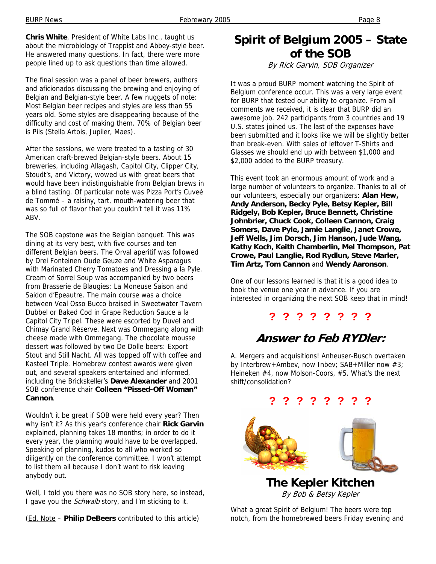**Chris White**, President of White Labs Inc., taught us about the microbiology of Trappist and Abbey-style beer. He answered many questions. In fact, there were more people lined up to ask questions than time allowed.

The final session was a panel of beer brewers, authors and aficionados discussing the brewing and enjoying of Belgian and Belgian-style beer. A few nuggets of note: Most Belgian beer recipes and styles are less than 55 years old. Some styles are disappearing because of the difficulty and cost of making them. 70% of Belgian beer is Pils (Stella Artois, Jupiler, Maes).

After the sessions, we were treated to a tasting of 30 American craft-brewed Belgian-style beers. About 15 breweries, including Allagash, Capitol City, Clipper City, Stoudt's, and Victory, wowed us with great beers that would have been indistinguishable from Belgian brews in a blind tasting. Of particular note was Pizza Port's Cuveé de Tommé – a raisiny, tart, mouth-watering beer that was so full of flavor that you couldn't tell it was 11% ABV.

The SOB capstone was the Belgian banquet. This was dining at its very best, with five courses and ten different Belgian beers. The Orval aperitif was followed by Drei Fonteinen Oude Geuze and White Asparagus with Marinated Cherry Tomatoes and Dressing a la Pyle. Cream of Sorrel Soup was accompanied by two beers from Brasserie de Blaugies: La Moneuse Saison and Saidon d'Epeautre. The main course was a choice between Veal Osso Bucco braised in Sweetwater Tavern Dubbel or Baked Cod in Grape Reduction Sauce a la Capitol City Tripel. These were escorted by Duvel and Chimay Grand Réserve. Next was Ommegang along with cheese made with Ommegang. The chocolate mousse dessert was followed by two De Dolle beers: Export Stout and Still Nacht. All was topped off with coffee and Kasteel Triple. Homebrew contest awards were given out, and several speakers entertained and informed, including the Brickskeller's **Dave Alexander** and 2001 SOB conference chair **Colleen "Pissed-Off Woman" Cannon**.

Wouldn't it be great if SOB were held every year? Then why isn't it? As this year's conference chair **Rick Garvin** explained, planning takes 18 months; in order to do it every year, the planning would have to be overlapped. Speaking of planning, kudos to all who worked so diligently on the conference committee. I won't attempt to list them all because I don't want to risk leaving anybody out.

Well, I told you there was no SOB story here, so instead, I gave you the *Schwalb* story, and I'm sticking to it.

(Ed. Note – **Philip DeBeers** contributed to this article)

### **Spirit of Belgium 2005 – State of the SOB**

By Rick Garvin, SOB Organizer

It was a proud BURP moment watching the Spirit of Belgium conference occur. This was a very large event for BURP that tested our ability to organize. From all comments we received, it is clear that BURP did an awesome job. 242 participants from 3 countries and 19 U.S. states joined us. The last of the expenses have been submitted and it looks like we will be slightly better than break-even. With sales of leftover T-Shirts and Glasses we should end up with between \$1,000 and \$2,000 added to the BURP treasury.

This event took an enormous amount of work and a large number of volunteers to organize. Thanks to all of our volunteers, especially our organizers: **Alan Hew, Andy Anderson, Becky Pyle, Betsy Kepler, Bill Ridgely, Bob Kepler, Bruce Bennett, Christine Johnbrier, Chuck Cook, Colleen Cannon, Craig Somers, Dave Pyle, Jamie Langlie, Janet Crowe, Jeff Wells, Jim Dorsch, Jim Hanson, Jude Wang, Kathy Koch, Keith Chamberlin, Mel Thompson, Pat Crowe, Paul Langlie, Rod Rydlun, Steve Marler, Tim Artz, Tom Cannon** and **Wendy Aaronson**.

One of our lessons learned is that it is a good idea to book the venue one year in advance. If you are interested in organizing the next SOB keep that in mind!

### **? ? ? ? ? ? ? ?**

# **Answer to Feb RYDler:**

A. Mergers and acquisitions! Anheuser-Busch overtaken by Interbrew+Ambev, now Inbev; SAB+Miller now #3; Heineken #4, now Molson-Coors, #5. What's the next shift/consolidation?

**? ? ? ? ? ? ? ?** 



**The Kepler Kitchen** By Bob & Betsy Kepler

What a great Spirit of Belgium! The beers were top notch, from the homebrewed beers Friday evening and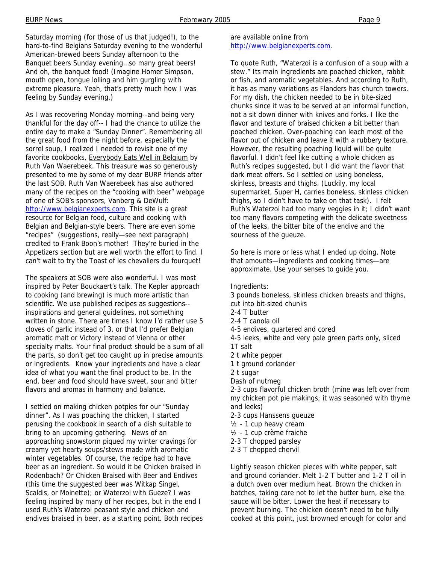Saturday morning (for those of us that judged!), to the hard-to-find Belgians Saturday evening to the wonderful American-brewed beers Sunday afternoon to the Banquet beers Sunday evening…so many great beers! And oh, the banquet food! (Imagine Homer Simpson, mouth open, tongue lolling and him gurgling with extreme pleasure. Yeah, that's pretty much how I was feeling by Sunday evening.)

As I was recovering Monday morning--and being very thankful for the day off-- I had the chance to utilize the entire day to make a "Sunday Dinner". Remembering all the great food from the night before, especially the sorrel soup, I realized I needed to revisit one of my favorite cookbooks, Everybody Eats Well in Belgium by Ruth Van Waerebeek. This treasure was so generously presented to me by some of my dear BURP friends after the last SOB. Ruth Van Waerebeek has also authored many of the recipes on the "cooking with beer" webpage of one of SOB's sponsors, Vanberg & DeWulf: http://www.belgianexperts.com. This site is a great resource for Belgian food, culture and cooking with Belgian and Belgian-style beers. There are even some "recipes" (suggestions, really—see next paragraph) credited to Frank Boon's mother! They're buried in the Appetizers section but are well worth the effort to find. I can't wait to try the Toast of les chevaliers du fourquet!

The speakers at SOB were also wonderful. I was most inspired by Peter Bouckaert's talk. The Kepler approach to cooking (and brewing) is much more artistic than scientific. We use published recipes as suggestions- inspirations and general guidelines, not something written in stone. There are times I know I'd rather use 5 cloves of garlic instead of 3, or that I'd prefer Belgian aromatic malt or Victory instead of Vienna or other specialty malts. Your final product should be a sum of all the parts, so don't get too caught up in precise amounts or ingredients. Know your ingredients and have a clear idea of what you want the final product to be. In the end, beer and food should have sweet, sour and bitter flavors and aromas in harmony and balance.

I settled on making chicken potpies for our "Sunday dinner". As I was poaching the chicken, I started perusing the cookbook in search of a dish suitable to bring to an upcoming gathering. News of an approaching snowstorm piqued my winter cravings for creamy yet hearty soups/stews made with aromatic winter vegetables. Of course, the recipe had to have beer as an ingredient. So would it be Chicken braised in Rodenbach? Or Chicken Braised with Beer and Endives (this time the suggested beer was Witkap Singel, Scaldis, or Moinette); or Waterzoi with Gueze? I was feeling inspired by many of her recipes, but in the end I used Ruth's Waterzoi peasant style and chicken and endives braised in beer, as a starting point. Both recipes

#### are available online from http://www.belgianexperts.com.

To quote Ruth, "Waterzoi is a confusion of a soup with a stew." Its main ingredients are poached chicken, rabbit or fish, and aromatic vegetables. And according to Ruth, it has as many variations as Flanders has church towers. For my dish, the chicken needed to be in bite-sized chunks since it was to be served at an informal function, not a sit down dinner with knives and forks. I like the flavor and texture of braised chicken a bit better than poached chicken. Over-poaching can leach most of the flavor out of chicken and leave it with a rubbery texture. However, the resulting poaching liquid will be quite flavorful. I didn't feel like cutting a whole chicken as Ruth's recipes suggested, but I did want the flavor that dark meat offers. So I settled on using boneless, skinless, breasts and thighs. (Luckily, my local supermarket, Super H, carries boneless, skinless chicken thighs, so I didn't have to take on that task). I felt Ruth's Waterzoi had too many veggies in it; I didn't want too many flavors competing with the delicate sweetness of the leeks, the bitter bite of the endive and the sourness of the gueuze.

So here is more or less what I ended up doing. Note that amounts—ingredients and cooking times—are approximate. Use your senses to guide you.

Ingredients:

- 3 pounds boneless, skinless chicken breasts and thighs,
- cut into bit-sized chunks
- 2-4 T butter
- 2-4 T canola oil
- 4-5 endives, quartered and cored
- 4-5 leeks, white and very pale green parts only, sliced 1T salt
- 2 t white pepper
- 1 t ground coriander
- 2 t sugar
- Dash of nutmeg

2-3 cups flavorful chicken broth (mine was left over from my chicken pot pie makings; it was seasoned with thyme and leeks)

- 2-3 cups Hanssens gueuze
- ½ 1 cup heavy cream
- ½ 1 cup crème fraiche
- 2-3 T chopped parsley
- 2-3 T chopped chervil

Lightly season chicken pieces with white pepper, salt and ground coriander. Melt 1-2 T butter and 1-2 T oil in a dutch oven over medium heat. Brown the chicken in batches, taking care not to let the butter burn, else the sauce will be bitter. Lower the heat if necessary to prevent burning. The chicken doesn't need to be fully cooked at this point, just browned enough for color and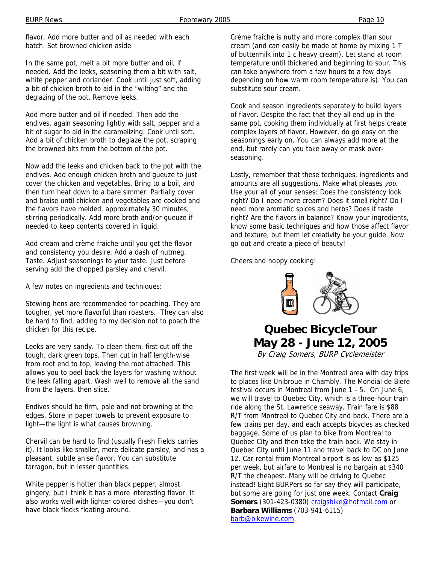flavor. Add more butter and oil as needed with each batch. Set browned chicken aside.

In the same pot, melt a bit more butter and oil, if needed. Add the leeks, seasoning them a bit with salt, white pepper and coriander. Cook until just soft, adding a bit of chicken broth to aid in the "wilting" and the deglazing of the pot. Remove leeks.

Add more butter and oil if needed. Then add the endives, again seasoning lightly with salt, pepper and a bit of sugar to aid in the caramelizing. Cook until soft. Add a bit of chicken broth to deglaze the pot, scraping the browned bits from the bottom of the pot.

Now add the leeks and chicken back to the pot with the endives. Add enough chicken broth and gueuze to just cover the chicken and vegetables. Bring to a boil, and then turn heat down to a bare simmer. Partially cover and braise until chicken and vegetables are cooked and the flavors have melded, approximately 30 minutes, stirring periodically. Add more broth and/or gueuze if needed to keep contents covered in liquid.

Add cream and crème fraiche until you get the flavor and consistency you desire. Add a dash of nutmeg. Taste. Adjust seasonings to your taste. Just before serving add the chopped parsley and chervil.

A few notes on ingredients and techniques:

Stewing hens are recommended for poaching. They are tougher, yet more flavorful than roasters. They can also be hard to find, adding to my decision not to poach the chicken for this recipe.

Leeks are very sandy. To clean them, first cut off the tough, dark green tops. Then cut in half length-wise from root end to top, leaving the root attached. This allows you to peel back the layers for washing without the leek falling apart. Wash well to remove all the sand from the layers, then slice.

Endives should be firm, pale and not browning at the edges. Store in paper towels to prevent exposure to light—the light is what causes browning.

Chervil can be hard to find (usually Fresh Fields carries it). It looks like smaller, more delicate parsley, and has a pleasant, subtle anise flavor. You can substitute tarragon, but in lesser quantities.

White pepper is hotter than black pepper, almost gingery, but I think it has a more interesting flavor. It also works well with lighter colored dishes—you don't have black flecks floating around.

Crème fraiche is nutty and more complex than sour cream (and can easily be made at home by mixing 1 T of buttermilk into 1 c heavy cream). Let stand at room temperature until thickened and beginning to sour. This can take anywhere from a few hours to a few days depending on how warm room temperature is). You can substitute sour cream.

Cook and season ingredients separately to build layers of flavor. Despite the fact that they all end up in the same pot, cooking them individually at first helps create complex layers of flavor. However, do go easy on the seasonings early on. You can always add more at the end, but rarely can you take away or mask overseasoning.

Lastly, remember that these techniques, ingredients and amounts are all suggestions. Make what pleases you. Use your all of your senses: Does the consistency look right? Do I need more cream? Does it smell right? Do I need more aromatic spices and herbs? Does it taste right? Are the flavors in balance? Know your ingredients, know some basic techniques and how those affect flavor and texture, but them let creativity be your guide. Now go out and create a piece of beauty!

Cheers and hoppy cooking!



### **Quebec BicycleTour May 28 - June 12, 2005** By Craig Somers, BURP Cyclemeister

The first week will be in the Montreal area with day trips to places like Unibroue in Chambly. The Mondial de Biere festival occurs in Montreal from June 1 - 5. On June 6, we will travel to Quebec City, which is a three-hour train ride along the St. Lawrence seaway. Train fare is \$88 R/T from Montreal to Quebec City and back. There are a few trains per day, and each accepts bicycles as checked baggage. Some of us plan to bike from Montreal to Quebec City and then take the train back. We stay in Quebec City until June 11 and travel back to DC on June 12. Car rental from Montreal airport is as low as \$125 per week, but airfare to Montreal is no bargain at \$340 R/T the cheapest. Many will be driving to Quebec instead! Eight BURPers so far say they will participate, but some are going for just one week. Contact **Craig**  Somers (301-423-0380) craigsbike@hotmail.com or **Barbara Williams** (703-941-6115) barb@bikewine.com.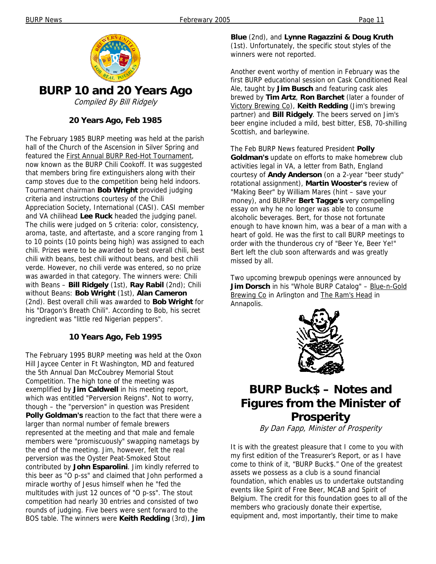

**BURP 10 and 20 Years Ago** 

Compiled By Bill Ridgely

#### **20 Years Ago, Feb 1985**

The February 1985 BURP meeting was held at the parish hall of the Church of the Ascension in Silver Spring and featured the First Annual BURP Red-Hot Tournament, now known as the BURP Chili Cookoff. It was suggested that members bring fire extinguishers along with their camp stoves due to the competition being held indoors. Tournament chairman **Bob Wright** provided judging criteria and instructions courtesy of the Chili Appreciation Society, International (CASI). CASI member and VA chilihead **Lee Ruck** headed the judging panel. The chilis were judged on 5 criteria: color, consistency, aroma, taste, and aftertaste, and a score ranging from 1 to 10 points (10 points being high) was assigned to each chili. Prizes were to be awarded to best overall chili, best chili with beans, best chili without beans, and best chili verde. However, no chili verde was entered, so no prize was awarded in that category. The winners were: Chili with Beans – **Bill Ridgely** (1st), **Ray Rabil** (2nd); Chili without Beans: **Bob Wright** (1st), **Alan Cameron** (2nd). Best overall chili was awarded to **Bob Wright** for his "Dragon's Breath Chili". According to Bob, his secret ingredient was "little red Nigerian peppers".

#### **10 Years Ago, Feb 1995**

The February 1995 BURP meeting was held at the Oxon Hill Jaycee Center in Ft Washington, MD and featured the 5th Annual Dan McCoubrey Memorial Stout Competition. The high tone of the meeting was exemplified by **Jim Caldwell** in his meeting report, which was entitled "Perversion Reigns". Not to worry, though – the "perversion" in question was President **Polly Goldman's** reaction to the fact that there were a larger than normal number of female brewers represented at the meeting and that male and female members were "promiscuously" swapping nametags by the end of the meeting. Jim, however, felt the real perversion was the Oyster Peat-Smoked Stout contributed by **John Esparolini**. Jim kindly referred to this beer as "O p-ss" and claimed that John performed a miracle worthy of Jesus himself when he "fed the multitudes with just 12 ounces of "O p-ss". The stout competition had nearly 30 entries and consisted of two rounds of judging. Five beers were sent forward to the BOS table. The winners were **Keith Redding** (3rd), **Jim**  **Blue** (2nd), and **Lynne Ragazzini & Doug Kruth** (1st). Unfortunately, the specific stout styles of the winners were not reported.

Another event worthy of mention in February was the first BURP educational session on Cask Conditioned Real Ale, taught by **Jim Busch** and featuring cask ales brewed by **Tim Artz**, **Ron Barchet** (later a founder of Victory Brewing Co), **Keith Redding** (Jim's brewing partner) and **Bill Ridgely**. The beers served on Jim's beer engine included a mild, best bitter, ESB, 70-shilling Scottish, and barleywine.

The Feb BURP News featured President **Polly Goldman's** update on efforts to make homebrew club activities legal in VA, a letter from Bath, England courtesy of **Andy Anderson** (on a 2-year "beer study" rotational assignment), **Martin Wooster's** review of "Making Beer" by William Mares (hint – save your money), and BURPer **Bert Tagge's** very compelling essay on why he no longer was able to consume alcoholic beverages. Bert, for those not fortunate enough to have known him, was a bear of a man with a heart of gold. He was the first to call BURP meetings to order with the thunderous cry of "Beer Ye, Beer Ye!" Bert left the club soon afterwards and was greatly missed by all.

Two upcoming brewpub openings were announced by **Jim Dorsch** in his "Whole BURP Catalog" – Blue-n-Gold Brewing Co in Arlington and The Ram's Head in Annapolis.



# **BURP Buck\$ – Notes and Figures from the Minister of Prosperity**

By Dan Fapp, Minister of Prosperity

It is with the greatest pleasure that I come to you with my first edition of the Treasurer's Report, or as I have come to think of it, "BURP Buck\$." One of the greatest assets we possess as a club is a sound financial foundation, which enables us to undertake outstanding events like Spirit of Free Beer, MCAB and Spirit of Belgium. The credit for this foundation goes to all of the members who graciously donate their expertise, equipment and, most importantly, their time to make